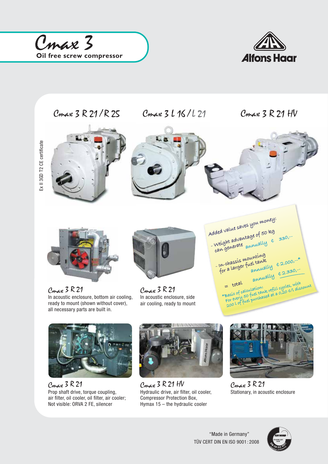







Cmax 3 R 21 Prop shaft drive, torque coupling, air filter, oil cooler, oil filter, air cooler; Not visible: ORVA 2 FE, silencer



Cmax 3 R 21 HV Hydraulic drive, air filter, oil cooler, Compressor Protection Box, Hymax 15 – the hydraulic cooler



Cmax 3 R 21 Stationary, in acoustic enclosure